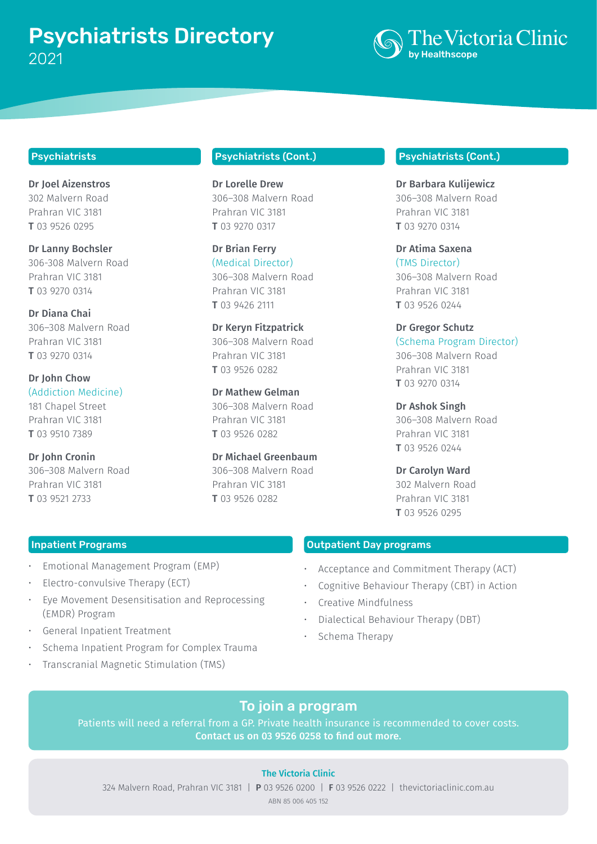# Psychiatrists Directory 2021 by Healthscope



## Psychiatrists

Dr Joel Aizenstros 302 Malvern Road Prahran VIC 3181 T 03 9526 0295

Dr Lanny Bochsler 306-308 Malvern Road Prahran VIC 3181 T 03 9270 0314

Dr Diana Chai 306–308 Malvern Road Prahran VIC 3181 T 03 9270 0314

Dr John Chow (Addiction Medicine) 181 Chapel Street Prahran VIC 3181 T 03 9510 7389

Dr John Cronin 306–308 Malvern Road Prahran VIC 3181 T 03 9521 2733

# Psychiatrists (Cont.)

Dr Lorelle Drew 306–308 Malvern Road Prahran VIC 3181 T 03 9270 0317

Dr Brian Ferry (Medical Director) 306–308 Malvern Road Prahran VIC 3181 T 03 9426 2111

Dr Keryn Fitzpatrick 306–308 Malvern Road Prahran VIC 3181 T 03 9526 0282

Dr Mathew Gelman 306–308 Malvern Road Prahran VIC 3181 T 03 9526 0282

Dr Michael Greenbaum 306–308 Malvern Road Prahran VIC 3181 T 03 9526 0282

#### Psychiatrists (Cont.)

Dr Barbara Kulijewicz 306–308 Malvern Road Prahran VIC 3181 T 03 9270 0314

Dr Atima Saxena (TMS Director) 306–308 Malvern Road Prahran VIC 3181 T 03 9526 0244

Dr Gregor Schutz (Schema Program Director) 306–308 Malvern Road Prahran VIC 3181 T 03 9270 0314

Dr Ashok Singh 306–308 Malvern Road Prahran VIC 3181 T 03 9526 0244

Dr Carolyn Ward 302 Malvern Road Prahran VIC 3181 T 03 9526 0295

## Inpatient Programs

- Emotional Management Program (EMP)
- Electro-convulsive Therapy (ECT)
- Eye Movement Desensitisation and Reprocessing (EMDR) Program
- General Inpatient Treatment
- Schema Inpatient Program for Complex Trauma
- Transcranial Magnetic Stimulation (TMS)

Outpatient Day programs

- Acceptance and Commitment Therapy (ACT)
- Cognitive Behaviour Therapy (CBT) in Action
- Creative Mindfulness
- Dialectical Behaviour Therapy (DBT)
- Schema Therapy

# To join a program

Patients will need a referral from a GP. Private health insurance is recommended to cover costs. Contact us on 03 9526 0258 to find out more.

## The Victoria Clinic

324 Malvern Road, Prahran VIC 3181 | P 03 9526 0200 | F 03 9526 0222 | thevictoriaclinic.com.au ABN 85 006 405 152